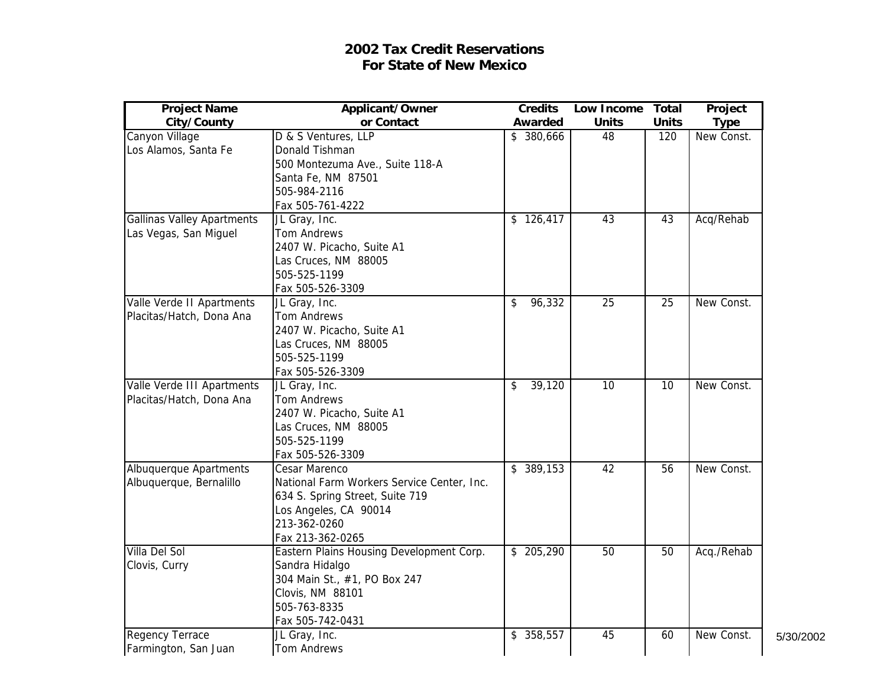## **2002 Tax Credit Reservations For State of New Mexico**

| <b>Project Name</b>               | Applicant/Owner                            | <b>Credits</b> | Low Income      | <b>Total</b>    | Project     |
|-----------------------------------|--------------------------------------------|----------------|-----------------|-----------------|-------------|
| City/County                       | or Contact                                 | Awarded        | <b>Units</b>    | <b>Units</b>    | <b>Type</b> |
| Canyon Village                    | D & S Ventures, LLP                        | \$380,666      | 48              | 120             | New Const.  |
| Los Alamos, Santa Fe              | Donald Tishman                             |                |                 |                 |             |
|                                   | 500 Montezuma Ave., Suite 118-A            |                |                 |                 |             |
|                                   | Santa Fe, NM 87501                         |                |                 |                 |             |
|                                   | 505-984-2116                               |                |                 |                 |             |
|                                   | Fax 505-761-4222                           |                |                 |                 |             |
| <b>Gallinas Valley Apartments</b> | JL Gray, Inc.                              | \$126,417      | 43              | 43              | Acq/Rehab   |
| Las Vegas, San Miguel             | Tom Andrews                                |                |                 |                 |             |
|                                   | 2407 W. Picacho, Suite A1                  |                |                 |                 |             |
|                                   | Las Cruces, NM 88005                       |                |                 |                 |             |
|                                   | 505-525-1199                               |                |                 |                 |             |
|                                   | Fax 505-526-3309                           |                |                 |                 |             |
| Valle Verde II Apartments         | JL Gray, Inc.                              | 96,332<br>\$   | $\overline{25}$ | $\overline{25}$ | New Const.  |
| Placitas/Hatch, Dona Ana          | Tom Andrews                                |                |                 |                 |             |
|                                   | 2407 W. Picacho, Suite A1                  |                |                 |                 |             |
|                                   | Las Cruces, NM 88005                       |                |                 |                 |             |
|                                   | 505-525-1199                               |                |                 |                 |             |
|                                   | Fax 505-526-3309                           |                |                 |                 |             |
| Valle Verde III Apartments        | JL Gray, Inc.                              | 39,120<br>\$   | 10              | $\overline{10}$ | New Const.  |
| Placitas/Hatch, Dona Ana          | Tom Andrews                                |                |                 |                 |             |
|                                   | 2407 W. Picacho, Suite A1                  |                |                 |                 |             |
|                                   | Las Cruces, NM 88005                       |                |                 |                 |             |
|                                   | 505-525-1199                               |                |                 |                 |             |
|                                   | Fax 505-526-3309                           |                |                 |                 |             |
| Albuquerque Apartments            | Cesar Marenco                              | \$389,153      | 42              | $\overline{56}$ | New Const.  |
| Albuquerque, Bernalillo           | National Farm Workers Service Center, Inc. |                |                 |                 |             |
|                                   | 634 S. Spring Street, Suite 719            |                |                 |                 |             |
|                                   | Los Angeles, CA 90014                      |                |                 |                 |             |
|                                   | 213-362-0260                               |                |                 |                 |             |
|                                   | Fax 213-362-0265                           |                |                 |                 |             |
| Villa Del Sol                     | Eastern Plains Housing Development Corp.   | \$205,290      | $\overline{50}$ | $\overline{50}$ | Acq./Rehab  |
| Clovis, Curry                     | Sandra Hidalgo                             |                |                 |                 |             |
|                                   | 304 Main St., #1, PO Box 247               |                |                 |                 |             |
|                                   | Clovis, NM 88101                           |                |                 |                 |             |
|                                   | 505-763-8335                               |                |                 |                 |             |
|                                   | Fax 505-742-0431                           |                |                 |                 |             |
| <b>Regency Terrace</b>            | JL Gray, Inc.                              | \$ 358,557     | 45              | 60              | New Const.  |
| Farmington, San Juan              | Tom Andrews                                |                |                 |                 |             |